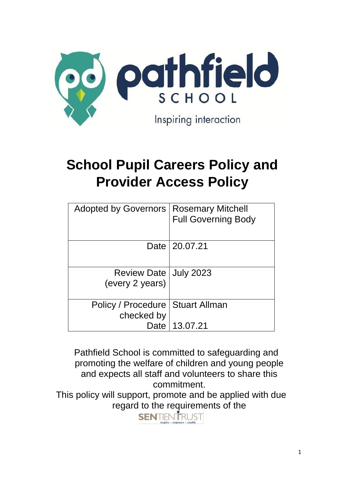

# **School Pupil Careers Policy and Provider Access Policy**

| Adopted by Governors   Rosemary Mitchell   | <b>Full Governing Body</b> |
|--------------------------------------------|----------------------------|
|                                            | Date   20.07.21            |
| Review Date   July 2023<br>(every 2 years) |                            |
| Policy / Procedure<br>checked by           | Stuart Allman              |
| Date                                       | 13.07.21                   |

 Pathfield School is committed to safeguarding and promoting the welfare of children and young people and expects all staff and volunteers to share this commitment.

This policy will support, promote and be applied with due regard to the requirements of the

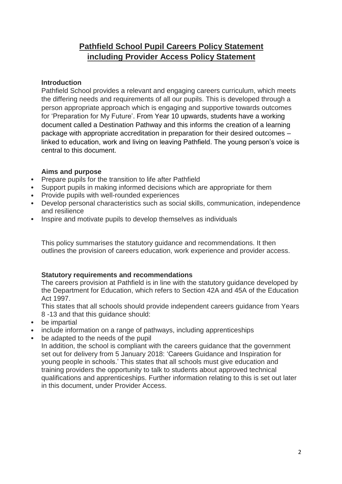## **Pathfield School Pupil Careers Policy Statement including Provider Access Policy Statement**

## **Introduction**

Pathfield School provides a relevant and engaging careers curriculum, which meets the differing needs and requirements of all our pupils. This is developed through a person appropriate approach which is engaging and supportive towards outcomes for 'Preparation for My Future'. From Year 10 upwards, students have a working document called a Destination Pathway and this informs the creation of a learning package with appropriate accreditation in preparation for their desired outcomes – linked to education, work and living on leaving Pathfield. The young person's voice is central to this document.

## **Aims and purpose**

- Prepare pupils for the transition to life after Pathfield
- Support pupils in making informed decisions which are appropriate for them
- Provide pupils with well-rounded experiences
- Develop personal characteristics such as social skills, communication, independence and resilience
- Inspire and motivate pupils to develop themselves as individuals

This policy summarises the statutory guidance and recommendations. It then outlines the provision of careers education, work experience and provider access.

## **Statutory requirements and recommendations**

The careers provision at Pathfield is in line with the statutory guidance developed by the Department for Education, which refers to Section 42A and 45A of the Education Act 1997.

This states that all schools should provide independent careers guidance from Years 8 -13 and that this guidance should:

- be impartial
- include information on a range of pathways, including apprenticeships
- be adapted to the needs of the pupil

In addition, the school is compliant with the careers guidance that the government set out for delivery from 5 January 2018: 'Careers Guidance and Inspiration for young people in schools.' This states that all schools must give education and training providers the opportunity to talk to students about approved technical qualifications and apprenticeships. Further information relating to this is set out later in this document, under Provider Access.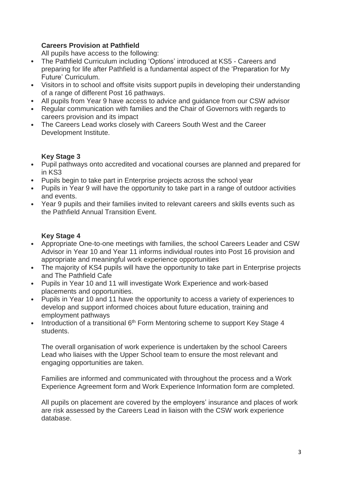## **Careers Provision at Pathfield**

All pupils have access to the following:

- The Pathfield Curriculum including 'Options' introduced at KS5 Careers and preparing for life after Pathfield is a fundamental aspect of the 'Preparation for My Future' Curriculum.
- Visitors in to school and offsite visits support pupils in developing their understanding of a range of different Post 16 pathways.
- All pupils from Year 9 have access to advice and guidance from our CSW advisor
- Regular communication with families and the Chair of Governors with regards to careers provision and its impact
- The Careers Lead works closely with Careers South West and the Career Development Institute.

## **Key Stage 3**

- Pupil pathways onto accredited and vocational courses are planned and prepared for in KS3
- Pupils begin to take part in Enterprise projects across the school year
- Pupils in Year 9 will have the opportunity to take part in a range of outdoor activities and events.
- Year 9 pupils and their families invited to relevant careers and skills events such as the Pathfield Annual Transition Event.

## **Key Stage 4**

- Appropriate One-to-one meetings with families, the school Careers Leader and CSW Advisor in Year 10 and Year 11 informs individual routes into Post 16 provision and appropriate and meaningful work experience opportunities
- The majority of KS4 pupils will have the opportunity to take part in Enterprise projects and The Pathfield Cafe
- Pupils in Year 10 and 11 will investigate Work Experience and work-based placements and opportunities.
- Pupils in Year 10 and 11 have the opportunity to access a variety of experiences to develop and support informed choices about future education, training and employment pathways
- Introduction of a transitional 6<sup>th</sup> Form Mentoring scheme to support Key Stage 4 students.

The overall organisation of work experience is undertaken by the school Careers Lead who liaises with the Upper School team to ensure the most relevant and engaging opportunities are taken.

Families are informed and communicated with throughout the process and a Work Experience Agreement form and Work Experience Information form are completed.

All pupils on placement are covered by the employers' insurance and places of work are risk assessed by the Careers Lead in liaison with the CSW work experience database.